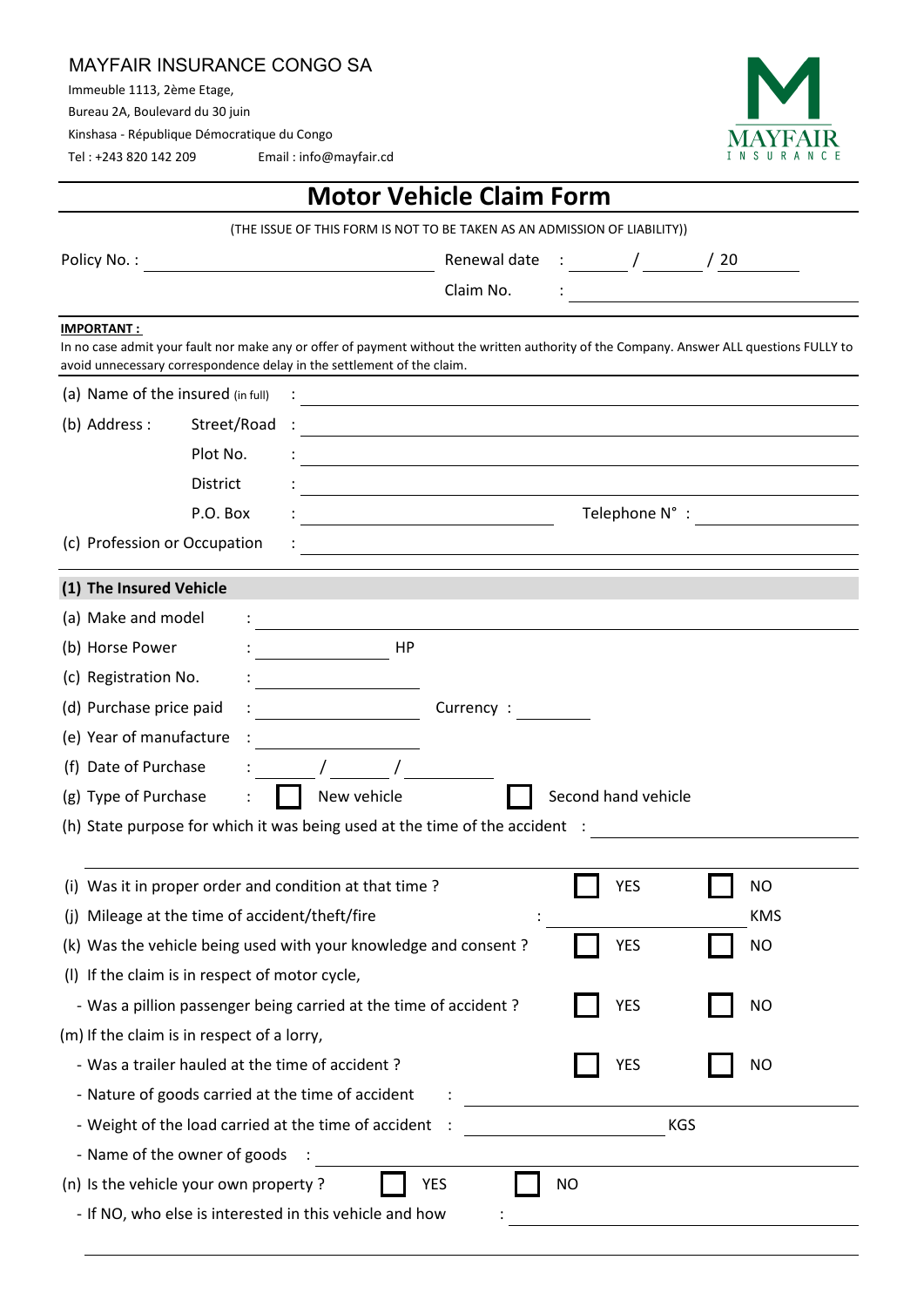## MAYFAIR INSURANCE CONGO SA

Immeuble 1113, 2ème Etage,

Bureau 2A, Boulevard du 30 juin

Kinshasa - République Démocratique du Congo

Tel : +243 820 142 209 Email : info@mayfair.cd



| <b>Motor Vehicle Claim Form</b>                                                                                                                                                                                    |            |
|--------------------------------------------------------------------------------------------------------------------------------------------------------------------------------------------------------------------|------------|
| (THE ISSUE OF THIS FORM IS NOT TO BE TAKEN AS AN ADMISSION OF LIABILITY))                                                                                                                                          |            |
| Policy No.:<br>Renewal date : $\frac{1}{20}$ / $\frac{20}{20}$<br><u> 1980 - Johann Barbara, martin d</u>                                                                                                          |            |
| Claim No.                                                                                                                                                                                                          |            |
| <b>IMPORTANT:</b>                                                                                                                                                                                                  |            |
| In no case admit your fault nor make any or offer of payment without the written authority of the Company. Answer ALL questions FULLY to<br>avoid unnecessary correspondence delay in the settlement of the claim. |            |
| (a) Name of the insured (in full)                                                                                                                                                                                  |            |
| <u> 1980 - Johann Stoff, deutscher Stoff, der Stoff, deutscher Stoff, der Stoff, der Stoff, der Stoff, der Stoff</u><br>(b) Address :<br>Street/Road                                                               |            |
| <u> 1980 - Andrea Barbara, poeta esperanto-poeta esperanto-poeta esperanto-poeta esperanto-poeta esperanto-poeta</u><br>Plot No.                                                                                   |            |
| <b>District</b>                                                                                                                                                                                                    |            |
| P.O. Box                                                                                                                                                                                                           |            |
| Telephone N°: Notes                                                                                                                                                                                                |            |
| (c) Profession or Occupation                                                                                                                                                                                       |            |
| (1) The Insured Vehicle                                                                                                                                                                                            |            |
| (a) Make and model                                                                                                                                                                                                 |            |
| HP<br>(b) Horse Power                                                                                                                                                                                              |            |
| (c) Registration No.                                                                                                                                                                                               |            |
| (d) Purchase price paid<br>Currency :                                                                                                                                                                              |            |
| (e) Year of manufacture                                                                                                                                                                                            |            |
| (f) Date of Purchase                                                                                                                                                                                               |            |
| Second hand vehicle<br>New vehicle<br>(g) Type of Purchase                                                                                                                                                         |            |
| (h) State purpose for which it was being used at the time of the accident :                                                                                                                                        |            |
|                                                                                                                                                                                                                    |            |
| (i) Was it in proper order and condition at that time?<br><b>YES</b>                                                                                                                                               | <b>NO</b>  |
| (j) Mileage at the time of accident/theft/fire                                                                                                                                                                     | <b>KMS</b> |
| <b>YES</b><br>(k) Was the vehicle being used with your knowledge and consent?                                                                                                                                      | <b>NO</b>  |
| (I) If the claim is in respect of motor cycle,                                                                                                                                                                     |            |
| - Was a pillion passenger being carried at the time of accident?<br>YES                                                                                                                                            | <b>NO</b>  |
| (m) If the claim is in respect of a lorry,                                                                                                                                                                         |            |
| - Was a trailer hauled at the time of accident?<br><b>YES</b>                                                                                                                                                      | <b>NO</b>  |
| - Nature of goods carried at the time of accident                                                                                                                                                                  |            |
| <b>KGS</b><br>- Weight of the load carried at the time of accident                                                                                                                                                 |            |
| - Name of the owner of goods                                                                                                                                                                                       |            |
| (n) Is the vehicle your own property ?<br><b>YES</b><br><b>NO</b>                                                                                                                                                  |            |
| - If NO, who else is interested in this vehicle and how                                                                                                                                                            |            |
|                                                                                                                                                                                                                    |            |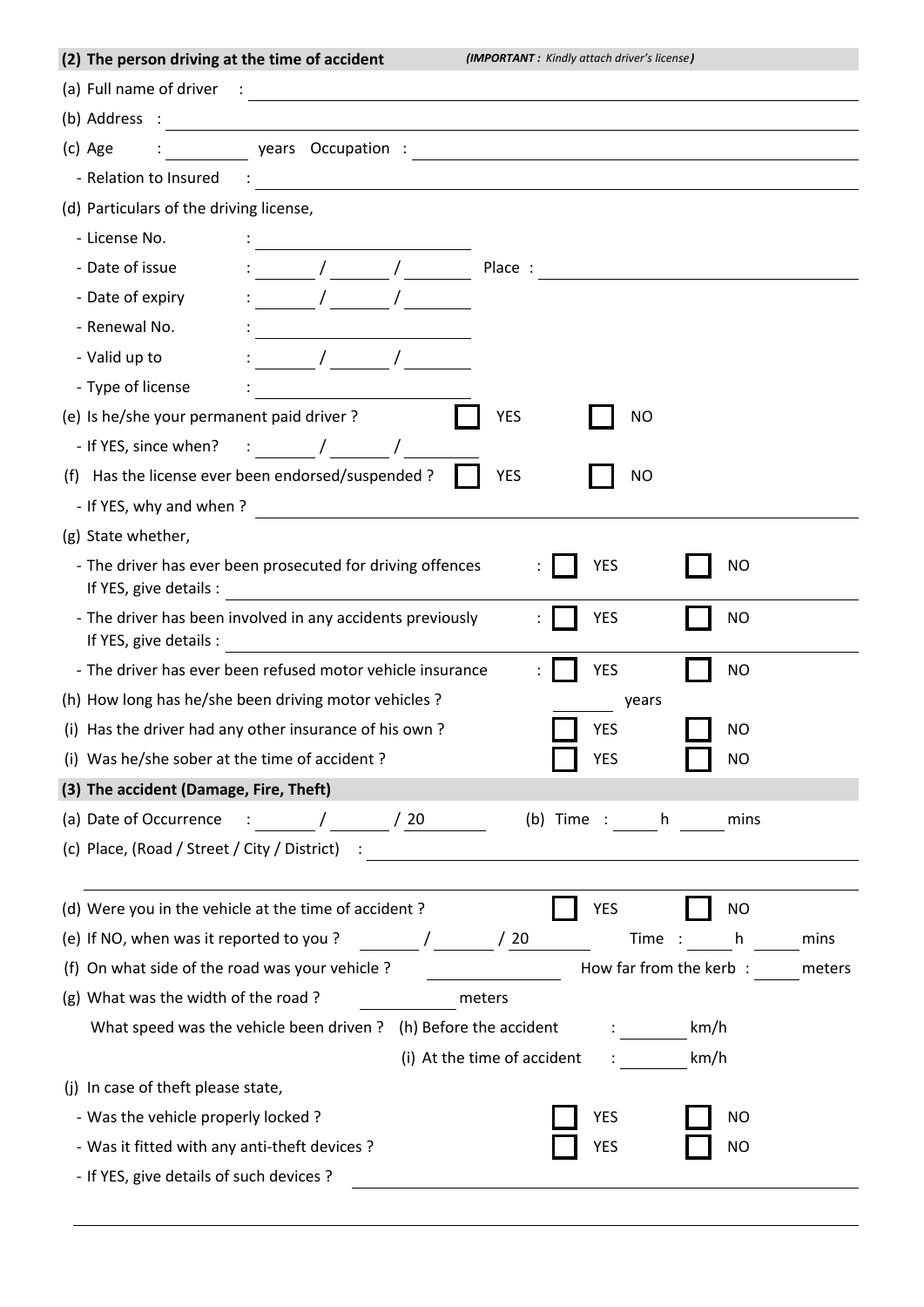| (a) Full name of driver $\frac{1}{2}$ $\frac{1}{2}$ $\frac{1}{2}$ $\frac{1}{2}$ $\frac{1}{2}$ $\frac{1}{2}$ $\frac{1}{2}$ $\frac{1}{2}$ $\frac{1}{2}$ $\frac{1}{2}$ $\frac{1}{2}$ $\frac{1}{2}$ $\frac{1}{2}$ $\frac{1}{2}$ $\frac{1}{2}$ $\frac{1}{2}$ $\frac{1}{2}$ $\frac{1}{2}$ $\frac{1}{2}$ $\frac{1}{2$<br>(b) Address $\qquad \qquad$<br>(c) Age<br>- Relation to Insured (2008) 2012 2022 2022 2023 2024 2022 2022 2023 2024 2022 2023 2024 2022 2023 2024 2022 20<br>(d) Particulars of the driving license,<br>- License No.<br><u> 1986 - Jan Stein Harry Stein Harry Stein Harry Stein Harry Stein Harry Stein Harry Stein Harry Stein Harry St</u><br>$\sqrt{2}$<br>- Date of issue<br>Place :<br>- Date of expiry<br>$\frac{1}{\sqrt{2}}$<br>- Renewal No.<br>- Valid up to<br>$\frac{1}{\sqrt{2}}$<br>- Type of license<br>(e) Is he/she your permanent paid driver?<br><b>YES</b><br>NO<br>- If YES, since when? : / / /<br><b>YES</b><br><b>NO</b><br>(f) Has the license ever been endorsed/suspended ?<br>- If YES, why and when?<br>(g) State whether,<br>- The driver has ever been prosecuted for driving offences<br><b>YES</b><br><b>NO</b><br>- The driver has been involved in any accidents previously<br><b>YES</b><br><b>NO</b><br>If YES, give details :<br>- The driver has ever been refused motor vehicle insurance<br><b>YES</b><br><b>NO</b><br>(h) How long has he/she been driving motor vehicles ?<br>years<br><b>YES</b><br>(i) Has the driver had any other insurance of his own?<br><b>NO</b><br>(i) Was he/she sober at the time of accident?<br>YES<br>NO<br>(3) The accident (Damage, Fire, Theft)<br>(a) Date of Occurrence $\frac{1}{2}$ : $\frac{1}{20}$ / 20<br>(b) Time : h<br>mins<br>(c) Place, (Road / Street / City / District) : \\esp ___________________________<br>(d) Were you in the vehicle at the time of accident?<br><b>YES</b><br>NO<br>(e) If NO, when was it reported to you?<br>$\frac{1}{\sqrt{20}}$<br>Time :<br>h.<br>mins<br>How far from the kerb:<br>(f) On what side of the road was your vehicle?<br>meters<br>(g) What was the width of the road?<br>meters<br>What speed was the vehicle been driven ? (h) Before the accident<br>km/h<br>$\mathbf{1}$ and $\mathbf{1}$ and $\mathbf{1}$<br>(i) At the time of accident<br>km/h<br>(j) In case of theft please state,<br>- Was the vehicle properly locked?<br>YES<br>ΝO<br><b>YES</b><br>- Was it fitted with any anti-theft devices?<br><b>NO</b><br>- If YES, give details of such devices ? | (2) The person driving at the time of accident | (IMPORTANT: Kindly attach driver's license) |
|-------------------------------------------------------------------------------------------------------------------------------------------------------------------------------------------------------------------------------------------------------------------------------------------------------------------------------------------------------------------------------------------------------------------------------------------------------------------------------------------------------------------------------------------------------------------------------------------------------------------------------------------------------------------------------------------------------------------------------------------------------------------------------------------------------------------------------------------------------------------------------------------------------------------------------------------------------------------------------------------------------------------------------------------------------------------------------------------------------------------------------------------------------------------------------------------------------------------------------------------------------------------------------------------------------------------------------------------------------------------------------------------------------------------------------------------------------------------------------------------------------------------------------------------------------------------------------------------------------------------------------------------------------------------------------------------------------------------------------------------------------------------------------------------------------------------------------------------------------------------------------------------------------------------------------------------------------------------------------------------------------------------------------------------------------------------------------------------------------------------------------------------------------------------------------------------------------------------------------------------------------------------------------------------------------------------------------------------------------------------------------------------------------------------------------------------------------------------------------------------------------------------------------|------------------------------------------------|---------------------------------------------|
|                                                                                                                                                                                                                                                                                                                                                                                                                                                                                                                                                                                                                                                                                                                                                                                                                                                                                                                                                                                                                                                                                                                                                                                                                                                                                                                                                                                                                                                                                                                                                                                                                                                                                                                                                                                                                                                                                                                                                                                                                                                                                                                                                                                                                                                                                                                                                                                                                                                                                                                               |                                                |                                             |
|                                                                                                                                                                                                                                                                                                                                                                                                                                                                                                                                                                                                                                                                                                                                                                                                                                                                                                                                                                                                                                                                                                                                                                                                                                                                                                                                                                                                                                                                                                                                                                                                                                                                                                                                                                                                                                                                                                                                                                                                                                                                                                                                                                                                                                                                                                                                                                                                                                                                                                                               |                                                |                                             |
|                                                                                                                                                                                                                                                                                                                                                                                                                                                                                                                                                                                                                                                                                                                                                                                                                                                                                                                                                                                                                                                                                                                                                                                                                                                                                                                                                                                                                                                                                                                                                                                                                                                                                                                                                                                                                                                                                                                                                                                                                                                                                                                                                                                                                                                                                                                                                                                                                                                                                                                               |                                                |                                             |
|                                                                                                                                                                                                                                                                                                                                                                                                                                                                                                                                                                                                                                                                                                                                                                                                                                                                                                                                                                                                                                                                                                                                                                                                                                                                                                                                                                                                                                                                                                                                                                                                                                                                                                                                                                                                                                                                                                                                                                                                                                                                                                                                                                                                                                                                                                                                                                                                                                                                                                                               |                                                |                                             |
|                                                                                                                                                                                                                                                                                                                                                                                                                                                                                                                                                                                                                                                                                                                                                                                                                                                                                                                                                                                                                                                                                                                                                                                                                                                                                                                                                                                                                                                                                                                                                                                                                                                                                                                                                                                                                                                                                                                                                                                                                                                                                                                                                                                                                                                                                                                                                                                                                                                                                                                               |                                                |                                             |
|                                                                                                                                                                                                                                                                                                                                                                                                                                                                                                                                                                                                                                                                                                                                                                                                                                                                                                                                                                                                                                                                                                                                                                                                                                                                                                                                                                                                                                                                                                                                                                                                                                                                                                                                                                                                                                                                                                                                                                                                                                                                                                                                                                                                                                                                                                                                                                                                                                                                                                                               |                                                |                                             |
|                                                                                                                                                                                                                                                                                                                                                                                                                                                                                                                                                                                                                                                                                                                                                                                                                                                                                                                                                                                                                                                                                                                                                                                                                                                                                                                                                                                                                                                                                                                                                                                                                                                                                                                                                                                                                                                                                                                                                                                                                                                                                                                                                                                                                                                                                                                                                                                                                                                                                                                               |                                                |                                             |
|                                                                                                                                                                                                                                                                                                                                                                                                                                                                                                                                                                                                                                                                                                                                                                                                                                                                                                                                                                                                                                                                                                                                                                                                                                                                                                                                                                                                                                                                                                                                                                                                                                                                                                                                                                                                                                                                                                                                                                                                                                                                                                                                                                                                                                                                                                                                                                                                                                                                                                                               |                                                |                                             |
|                                                                                                                                                                                                                                                                                                                                                                                                                                                                                                                                                                                                                                                                                                                                                                                                                                                                                                                                                                                                                                                                                                                                                                                                                                                                                                                                                                                                                                                                                                                                                                                                                                                                                                                                                                                                                                                                                                                                                                                                                                                                                                                                                                                                                                                                                                                                                                                                                                                                                                                               |                                                |                                             |
|                                                                                                                                                                                                                                                                                                                                                                                                                                                                                                                                                                                                                                                                                                                                                                                                                                                                                                                                                                                                                                                                                                                                                                                                                                                                                                                                                                                                                                                                                                                                                                                                                                                                                                                                                                                                                                                                                                                                                                                                                                                                                                                                                                                                                                                                                                                                                                                                                                                                                                                               |                                                |                                             |
|                                                                                                                                                                                                                                                                                                                                                                                                                                                                                                                                                                                                                                                                                                                                                                                                                                                                                                                                                                                                                                                                                                                                                                                                                                                                                                                                                                                                                                                                                                                                                                                                                                                                                                                                                                                                                                                                                                                                                                                                                                                                                                                                                                                                                                                                                                                                                                                                                                                                                                                               |                                                |                                             |
|                                                                                                                                                                                                                                                                                                                                                                                                                                                                                                                                                                                                                                                                                                                                                                                                                                                                                                                                                                                                                                                                                                                                                                                                                                                                                                                                                                                                                                                                                                                                                                                                                                                                                                                                                                                                                                                                                                                                                                                                                                                                                                                                                                                                                                                                                                                                                                                                                                                                                                                               |                                                |                                             |
|                                                                                                                                                                                                                                                                                                                                                                                                                                                                                                                                                                                                                                                                                                                                                                                                                                                                                                                                                                                                                                                                                                                                                                                                                                                                                                                                                                                                                                                                                                                                                                                                                                                                                                                                                                                                                                                                                                                                                                                                                                                                                                                                                                                                                                                                                                                                                                                                                                                                                                                               |                                                |                                             |
|                                                                                                                                                                                                                                                                                                                                                                                                                                                                                                                                                                                                                                                                                                                                                                                                                                                                                                                                                                                                                                                                                                                                                                                                                                                                                                                                                                                                                                                                                                                                                                                                                                                                                                                                                                                                                                                                                                                                                                                                                                                                                                                                                                                                                                                                                                                                                                                                                                                                                                                               |                                                |                                             |
|                                                                                                                                                                                                                                                                                                                                                                                                                                                                                                                                                                                                                                                                                                                                                                                                                                                                                                                                                                                                                                                                                                                                                                                                                                                                                                                                                                                                                                                                                                                                                                                                                                                                                                                                                                                                                                                                                                                                                                                                                                                                                                                                                                                                                                                                                                                                                                                                                                                                                                                               |                                                |                                             |
|                                                                                                                                                                                                                                                                                                                                                                                                                                                                                                                                                                                                                                                                                                                                                                                                                                                                                                                                                                                                                                                                                                                                                                                                                                                                                                                                                                                                                                                                                                                                                                                                                                                                                                                                                                                                                                                                                                                                                                                                                                                                                                                                                                                                                                                                                                                                                                                                                                                                                                                               |                                                |                                             |
|                                                                                                                                                                                                                                                                                                                                                                                                                                                                                                                                                                                                                                                                                                                                                                                                                                                                                                                                                                                                                                                                                                                                                                                                                                                                                                                                                                                                                                                                                                                                                                                                                                                                                                                                                                                                                                                                                                                                                                                                                                                                                                                                                                                                                                                                                                                                                                                                                                                                                                                               |                                                |                                             |
|                                                                                                                                                                                                                                                                                                                                                                                                                                                                                                                                                                                                                                                                                                                                                                                                                                                                                                                                                                                                                                                                                                                                                                                                                                                                                                                                                                                                                                                                                                                                                                                                                                                                                                                                                                                                                                                                                                                                                                                                                                                                                                                                                                                                                                                                                                                                                                                                                                                                                                                               |                                                |                                             |
|                                                                                                                                                                                                                                                                                                                                                                                                                                                                                                                                                                                                                                                                                                                                                                                                                                                                                                                                                                                                                                                                                                                                                                                                                                                                                                                                                                                                                                                                                                                                                                                                                                                                                                                                                                                                                                                                                                                                                                                                                                                                                                                                                                                                                                                                                                                                                                                                                                                                                                                               |                                                |                                             |
|                                                                                                                                                                                                                                                                                                                                                                                                                                                                                                                                                                                                                                                                                                                                                                                                                                                                                                                                                                                                                                                                                                                                                                                                                                                                                                                                                                                                                                                                                                                                                                                                                                                                                                                                                                                                                                                                                                                                                                                                                                                                                                                                                                                                                                                                                                                                                                                                                                                                                                                               |                                                |                                             |
|                                                                                                                                                                                                                                                                                                                                                                                                                                                                                                                                                                                                                                                                                                                                                                                                                                                                                                                                                                                                                                                                                                                                                                                                                                                                                                                                                                                                                                                                                                                                                                                                                                                                                                                                                                                                                                                                                                                                                                                                                                                                                                                                                                                                                                                                                                                                                                                                                                                                                                                               |                                                |                                             |
|                                                                                                                                                                                                                                                                                                                                                                                                                                                                                                                                                                                                                                                                                                                                                                                                                                                                                                                                                                                                                                                                                                                                                                                                                                                                                                                                                                                                                                                                                                                                                                                                                                                                                                                                                                                                                                                                                                                                                                                                                                                                                                                                                                                                                                                                                                                                                                                                                                                                                                                               |                                                |                                             |
|                                                                                                                                                                                                                                                                                                                                                                                                                                                                                                                                                                                                                                                                                                                                                                                                                                                                                                                                                                                                                                                                                                                                                                                                                                                                                                                                                                                                                                                                                                                                                                                                                                                                                                                                                                                                                                                                                                                                                                                                                                                                                                                                                                                                                                                                                                                                                                                                                                                                                                                               |                                                |                                             |
|                                                                                                                                                                                                                                                                                                                                                                                                                                                                                                                                                                                                                                                                                                                                                                                                                                                                                                                                                                                                                                                                                                                                                                                                                                                                                                                                                                                                                                                                                                                                                                                                                                                                                                                                                                                                                                                                                                                                                                                                                                                                                                                                                                                                                                                                                                                                                                                                                                                                                                                               |                                                |                                             |
|                                                                                                                                                                                                                                                                                                                                                                                                                                                                                                                                                                                                                                                                                                                                                                                                                                                                                                                                                                                                                                                                                                                                                                                                                                                                                                                                                                                                                                                                                                                                                                                                                                                                                                                                                                                                                                                                                                                                                                                                                                                                                                                                                                                                                                                                                                                                                                                                                                                                                                                               |                                                |                                             |
|                                                                                                                                                                                                                                                                                                                                                                                                                                                                                                                                                                                                                                                                                                                                                                                                                                                                                                                                                                                                                                                                                                                                                                                                                                                                                                                                                                                                                                                                                                                                                                                                                                                                                                                                                                                                                                                                                                                                                                                                                                                                                                                                                                                                                                                                                                                                                                                                                                                                                                                               |                                                |                                             |
|                                                                                                                                                                                                                                                                                                                                                                                                                                                                                                                                                                                                                                                                                                                                                                                                                                                                                                                                                                                                                                                                                                                                                                                                                                                                                                                                                                                                                                                                                                                                                                                                                                                                                                                                                                                                                                                                                                                                                                                                                                                                                                                                                                                                                                                                                                                                                                                                                                                                                                                               |                                                |                                             |
|                                                                                                                                                                                                                                                                                                                                                                                                                                                                                                                                                                                                                                                                                                                                                                                                                                                                                                                                                                                                                                                                                                                                                                                                                                                                                                                                                                                                                                                                                                                                                                                                                                                                                                                                                                                                                                                                                                                                                                                                                                                                                                                                                                                                                                                                                                                                                                                                                                                                                                                               |                                                |                                             |
|                                                                                                                                                                                                                                                                                                                                                                                                                                                                                                                                                                                                                                                                                                                                                                                                                                                                                                                                                                                                                                                                                                                                                                                                                                                                                                                                                                                                                                                                                                                                                                                                                                                                                                                                                                                                                                                                                                                                                                                                                                                                                                                                                                                                                                                                                                                                                                                                                                                                                                                               |                                                |                                             |
|                                                                                                                                                                                                                                                                                                                                                                                                                                                                                                                                                                                                                                                                                                                                                                                                                                                                                                                                                                                                                                                                                                                                                                                                                                                                                                                                                                                                                                                                                                                                                                                                                                                                                                                                                                                                                                                                                                                                                                                                                                                                                                                                                                                                                                                                                                                                                                                                                                                                                                                               |                                                |                                             |
|                                                                                                                                                                                                                                                                                                                                                                                                                                                                                                                                                                                                                                                                                                                                                                                                                                                                                                                                                                                                                                                                                                                                                                                                                                                                                                                                                                                                                                                                                                                                                                                                                                                                                                                                                                                                                                                                                                                                                                                                                                                                                                                                                                                                                                                                                                                                                                                                                                                                                                                               |                                                |                                             |
|                                                                                                                                                                                                                                                                                                                                                                                                                                                                                                                                                                                                                                                                                                                                                                                                                                                                                                                                                                                                                                                                                                                                                                                                                                                                                                                                                                                                                                                                                                                                                                                                                                                                                                                                                                                                                                                                                                                                                                                                                                                                                                                                                                                                                                                                                                                                                                                                                                                                                                                               |                                                |                                             |
|                                                                                                                                                                                                                                                                                                                                                                                                                                                                                                                                                                                                                                                                                                                                                                                                                                                                                                                                                                                                                                                                                                                                                                                                                                                                                                                                                                                                                                                                                                                                                                                                                                                                                                                                                                                                                                                                                                                                                                                                                                                                                                                                                                                                                                                                                                                                                                                                                                                                                                                               |                                                |                                             |
|                                                                                                                                                                                                                                                                                                                                                                                                                                                                                                                                                                                                                                                                                                                                                                                                                                                                                                                                                                                                                                                                                                                                                                                                                                                                                                                                                                                                                                                                                                                                                                                                                                                                                                                                                                                                                                                                                                                                                                                                                                                                                                                                                                                                                                                                                                                                                                                                                                                                                                                               |                                                |                                             |
|                                                                                                                                                                                                                                                                                                                                                                                                                                                                                                                                                                                                                                                                                                                                                                                                                                                                                                                                                                                                                                                                                                                                                                                                                                                                                                                                                                                                                                                                                                                                                                                                                                                                                                                                                                                                                                                                                                                                                                                                                                                                                                                                                                                                                                                                                                                                                                                                                                                                                                                               |                                                |                                             |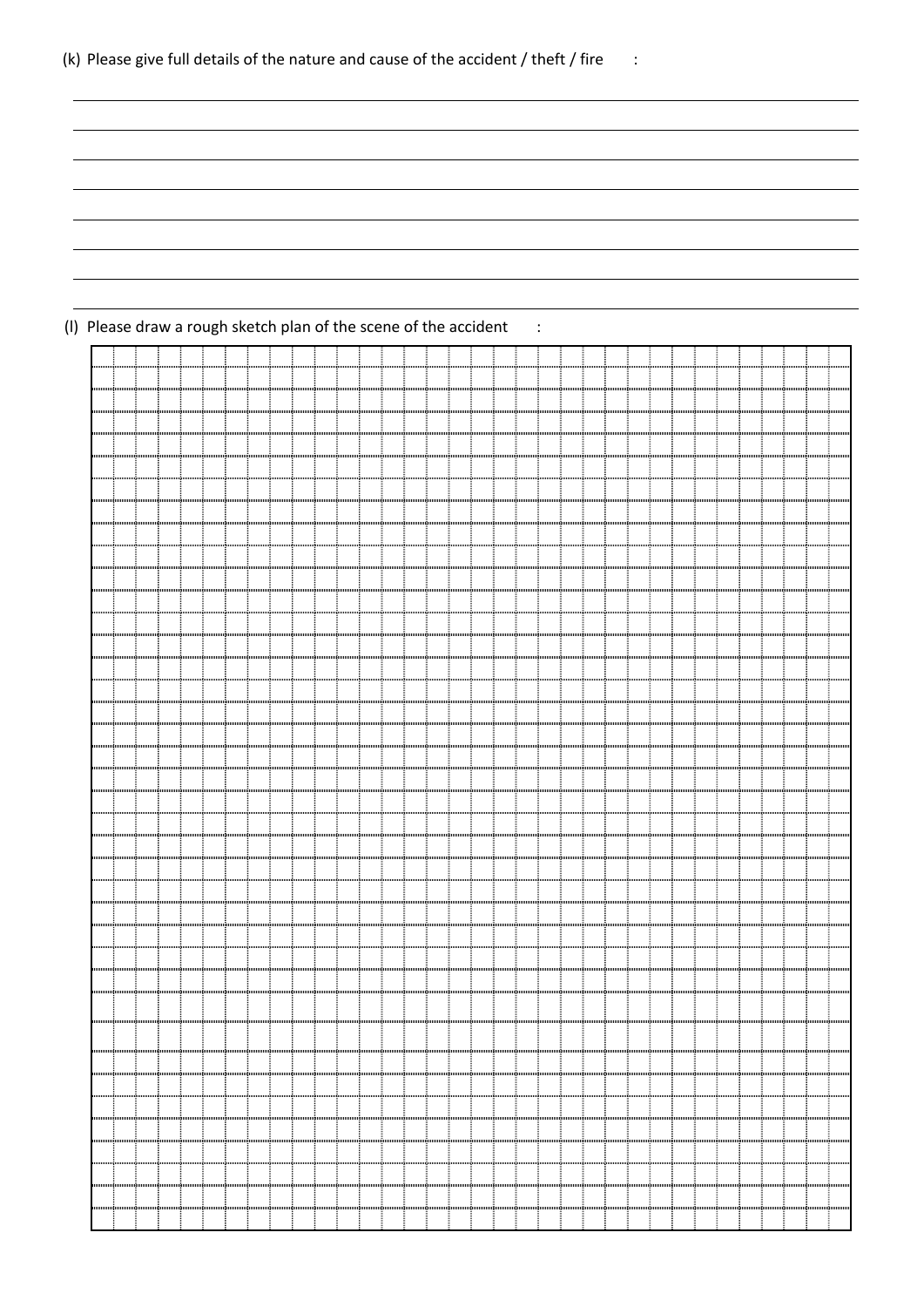|  |  |  |  |  | (k) Please give full details of the nature and cause of the accident / theft / fire |  |
|--|--|--|--|--|-------------------------------------------------------------------------------------|--|
|--|--|--|--|--|-------------------------------------------------------------------------------------|--|

|  | (I) Please draw a rough sketch plan of the scene of the accident |  |  |  |  |
|--|------------------------------------------------------------------|--|--|--|--|
|--|------------------------------------------------------------------|--|--|--|--|

|           | mmmutmmmutun        |  |  |                                                                                                                                                                                                                               |  |  |  |  |  |  |  |  |  |  |  |  |  |  |
|-----------|---------------------|--|--|-------------------------------------------------------------------------------------------------------------------------------------------------------------------------------------------------------------------------------|--|--|--|--|--|--|--|--|--|--|--|--|--|--|
|           |                     |  |  |                                                                                                                                                                                                                               |  |  |  |  |  |  |  |  |  |  |  |  |  |  |
|           |                     |  |  |                                                                                                                                                                                                                               |  |  |  |  |  |  |  |  |  |  |  |  |  |  |
|           |                     |  |  |                                                                                                                                                                                                                               |  |  |  |  |  |  |  |  |  |  |  |  |  |  |
|           |                     |  |  |                                                                                                                                                                                                                               |  |  |  |  |  |  |  |  |  |  |  |  |  |  |
|           | mmmuğununuğur       |  |  |                                                                                                                                                                                                                               |  |  |  |  |  |  |  |  |  |  |  |  |  |  |
|           |                     |  |  |                                                                                                                                                                                                                               |  |  |  |  |  |  |  |  |  |  |  |  |  |  |
|           |                     |  |  |                                                                                                                                                                                                                               |  |  |  |  |  |  |  |  |  |  |  |  |  |  |
|           |                     |  |  |                                                                                                                                                                                                                               |  |  |  |  |  |  |  |  |  |  |  |  |  |  |
|           |                     |  |  |                                                                                                                                                                                                                               |  |  |  |  |  |  |  |  |  |  |  |  |  |  |
|           |                     |  |  |                                                                                                                                                                                                                               |  |  |  |  |  |  |  |  |  |  |  |  |  |  |
|           | ការអោយប្រហាយអាជ្ញាណ |  |  | កការពិភាគការប្រិសាលារារើយបានឈើបានមកពីសាលារារដ្ឋិនមេសាលពីសាលារារដ្ឋិនមេសាលពីបានបោះប៉ូលារ                                                                                                                                       |  |  |  |  |  |  |  |  |  |  |  |  |  |  |
|           |                     |  |  |                                                                                                                                                                                                                               |  |  |  |  |  |  |  |  |  |  |  |  |  |  |
|           |                     |  |  |                                                                                                                                                                                                                               |  |  |  |  |  |  |  |  |  |  |  |  |  |  |
|           |                     |  |  |                                                                                                                                                                                                                               |  |  |  |  |  |  |  |  |  |  |  |  |  |  |
|           |                     |  |  |                                                                                                                                                                                                                               |  |  |  |  |  |  |  |  |  |  |  |  |  |  |
|           |                     |  |  |                                                                                                                                                                                                                               |  |  |  |  |  |  |  |  |  |  |  |  |  |  |
|           |                     |  |  |                                                                                                                                                                                                                               |  |  |  |  |  |  |  |  |  |  |  |  |  |  |
|           |                     |  |  |                                                                                                                                                                                                                               |  |  |  |  |  |  |  |  |  |  |  |  |  |  |
|           |                     |  |  |                                                                                                                                                                                                                               |  |  |  |  |  |  |  |  |  |  |  |  |  |  |
|           |                     |  |  |                                                                                                                                                                                                                               |  |  |  |  |  |  |  |  |  |  |  |  |  |  |
|           |                     |  |  |                                                                                                                                                                                                                               |  |  |  |  |  |  |  |  |  |  |  |  |  |  |
|           |                     |  |  |                                                                                                                                                                                                                               |  |  |  |  |  |  |  |  |  |  |  |  |  |  |
|           |                     |  |  |                                                                                                                                                                                                                               |  |  |  |  |  |  |  |  |  |  |  |  |  |  |
|           |                     |  |  |                                                                                                                                                                                                                               |  |  |  |  |  |  |  |  |  |  |  |  |  |  |
|           |                     |  |  |                                                                                                                                                                                                                               |  |  |  |  |  |  |  |  |  |  |  |  |  |  |
|           |                     |  |  |                                                                                                                                                                                                                               |  |  |  |  |  |  |  |  |  |  |  |  |  |  |
|           |                     |  |  |                                                                                                                                                                                                                               |  |  |  |  |  |  |  |  |  |  |  |  |  |  |
|           |                     |  |  |                                                                                                                                                                                                                               |  |  |  |  |  |  |  |  |  |  |  |  |  |  |
|           |                     |  |  |                                                                                                                                                                                                                               |  |  |  |  |  |  |  |  |  |  |  |  |  |  |
|           |                     |  |  |                                                                                                                                                                                                                               |  |  |  |  |  |  |  |  |  |  |  |  |  |  |
|           |                     |  |  |                                                                                                                                                                                                                               |  |  |  |  |  |  |  |  |  |  |  |  |  |  |
|           |                     |  |  |                                                                                                                                                                                                                               |  |  |  |  |  |  |  |  |  |  |  |  |  |  |
| հոսուսմ   |                     |  |  |                                                                                                                                                                                                                               |  |  |  |  |  |  |  |  |  |  |  |  |  |  |
|           |                     |  |  | លោកហើតតេចកើតឈោចិតណាញិតតេចកើតតេចកើតណាញិតតេចកើតណាញិតតេចកើតណាញិតតេចកើតណាញិតតេចកើតណាញិតតេចកើតណាញិតតេចកើតណាញិតតេចកើតណាញិតតេចកើតណាញិតតេចកើតណាញិតតេចកើតណាញិតតេចកើតណាញិតតេចកើតណាញិតតេចកើតណាញិតតេចកើតណា                                |  |  |  |  |  |  |  |  |  |  |  |  |  |  |
|           |                     |  |  |                                                                                                                                                                                                                               |  |  |  |  |  |  |  |  |  |  |  |  |  |  |
| հուսուսան |                     |  |  |                                                                                                                                                                                                                               |  |  |  |  |  |  |  |  |  |  |  |  |  |  |
|           |                     |  |  |                                                                                                                                                                                                                               |  |  |  |  |  |  |  |  |  |  |  |  |  |  |
|           |                     |  |  |                                                                                                                                                                                                                               |  |  |  |  |  |  |  |  |  |  |  |  |  |  |
|           |                     |  |  | រោយអាយ៉ាយមេឃើយអាយ៉ាយអាយ៉ាយអាយ៉ាយអាយ៉ាយអាយ៉ាយអាយ៉ាយអាយ៉ាយអាយ៉ាយអាយ៉ាយអាយ៉ាយអាយ៉ាយអាយ៉ាយអាយ៉ាយអាយ៉ាយអាយ៉ាយអាយ៉ាយអាយ៉ាយអាយ៉ាយអាយ៉ាយអាយ៉ាយអាយ៉ាយអាយ៉ាយអាយ៉ាយអាយ៉ាយអាយ៉ាយអាយ៉ាយអាយ៉ាយអាយ៉ាយអាយ៉ាយអាយ៉ាយអាយ៉ាយអាយ៉ាយអាយ៉ាយអាយ៉ាយអាយ |  |  |  |  |  |  |  |  |  |  |  |  |  |  |
|           |                     |  |  |                                                                                                                                                                                                                               |  |  |  |  |  |  |  |  |  |  |  |  |  |  |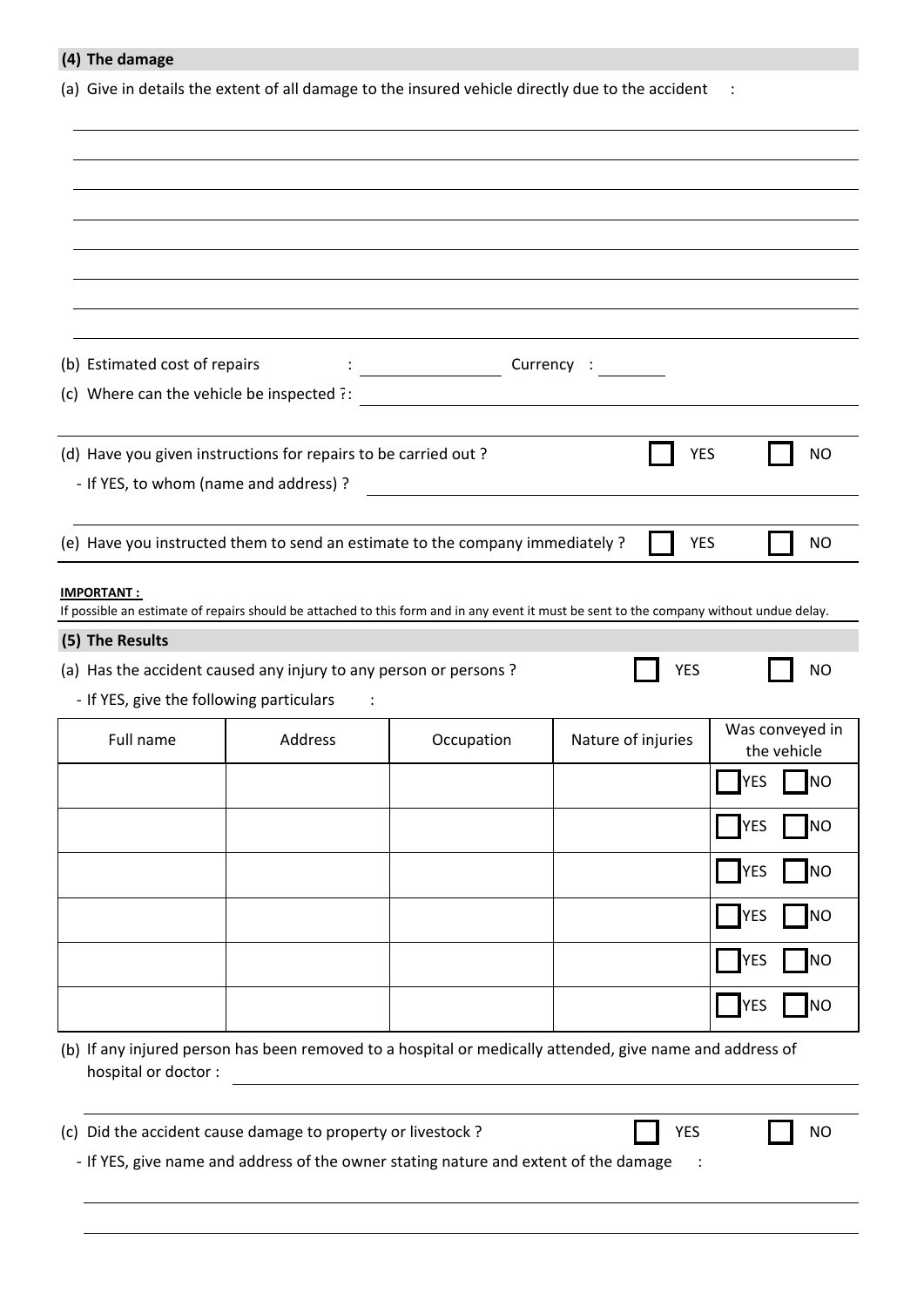| (4) The damage                                                                                                                                               |         |                                                                                      |                    |                                |
|--------------------------------------------------------------------------------------------------------------------------------------------------------------|---------|--------------------------------------------------------------------------------------|--------------------|--------------------------------|
| (a) Give in details the extent of all damage to the insured vehicle directly due to the accident                                                             |         |                                                                                      |                    | $\sim$ :                       |
|                                                                                                                                                              |         |                                                                                      |                    |                                |
|                                                                                                                                                              |         |                                                                                      |                    |                                |
|                                                                                                                                                              |         |                                                                                      |                    |                                |
|                                                                                                                                                              |         |                                                                                      |                    |                                |
|                                                                                                                                                              |         |                                                                                      |                    |                                |
|                                                                                                                                                              |         |                                                                                      |                    |                                |
| (b) Estimated cost of repairs                                                                                                                                |         |                                                                                      |                    |                                |
| (c) Where can the vehicle be inspected $\frac{?}{?}$                                                                                                         |         |                                                                                      |                    |                                |
|                                                                                                                                                              |         |                                                                                      |                    |                                |
| (d) Have you given instructions for repairs to be carried out ?                                                                                              |         |                                                                                      | <b>YES</b>         | <b>NO</b>                      |
| - If YES, to whom (name and address) ?                                                                                                                       |         |                                                                                      |                    |                                |
|                                                                                                                                                              |         |                                                                                      |                    |                                |
| (e) Have you instructed them to send an estimate to the company immediately ?                                                                                |         |                                                                                      | <b>YES</b>         | <b>NO</b>                      |
| <b>IMPORTANT:</b><br>If possible an estimate of repairs should be attached to this form and in any event it must be sent to the company without undue delay. |         |                                                                                      |                    |                                |
| (5) The Results                                                                                                                                              |         |                                                                                      |                    |                                |
| (a) Has the accident caused any injury to any person or persons?                                                                                             |         |                                                                                      | <b>YES</b>         | <b>NO</b>                      |
| - If YES, give the following particulars                                                                                                                     |         |                                                                                      |                    |                                |
| Full name                                                                                                                                                    | Address | Occupation                                                                           | Nature of injuries | Was conveyed in<br>the vehicle |
|                                                                                                                                                              |         |                                                                                      |                    | <b>INO</b><br><b>YES</b>       |
|                                                                                                                                                              |         |                                                                                      |                    | <b>YES</b><br><b>NO</b>        |
|                                                                                                                                                              |         |                                                                                      |                    | <b>NO</b><br><b>IYES</b>       |
|                                                                                                                                                              |         |                                                                                      |                    | <b>NO</b><br><b>YES</b>        |
|                                                                                                                                                              |         |                                                                                      |                    | <b>NO</b><br><b>YES</b>        |
|                                                                                                                                                              |         |                                                                                      |                    | N<br><b>YES</b>                |
|                                                                                                                                                              |         |                                                                                      |                    |                                |
| (b) If any injured person has been removed to a hospital or medically attended, give name and address of<br>hospital or doctor :                             |         |                                                                                      |                    |                                |
| (c) Did the accident cause damage to property or livestock ?                                                                                                 |         | - If YES, give name and address of the owner stating nature and extent of the damage | <b>YES</b>         | <b>NO</b>                      |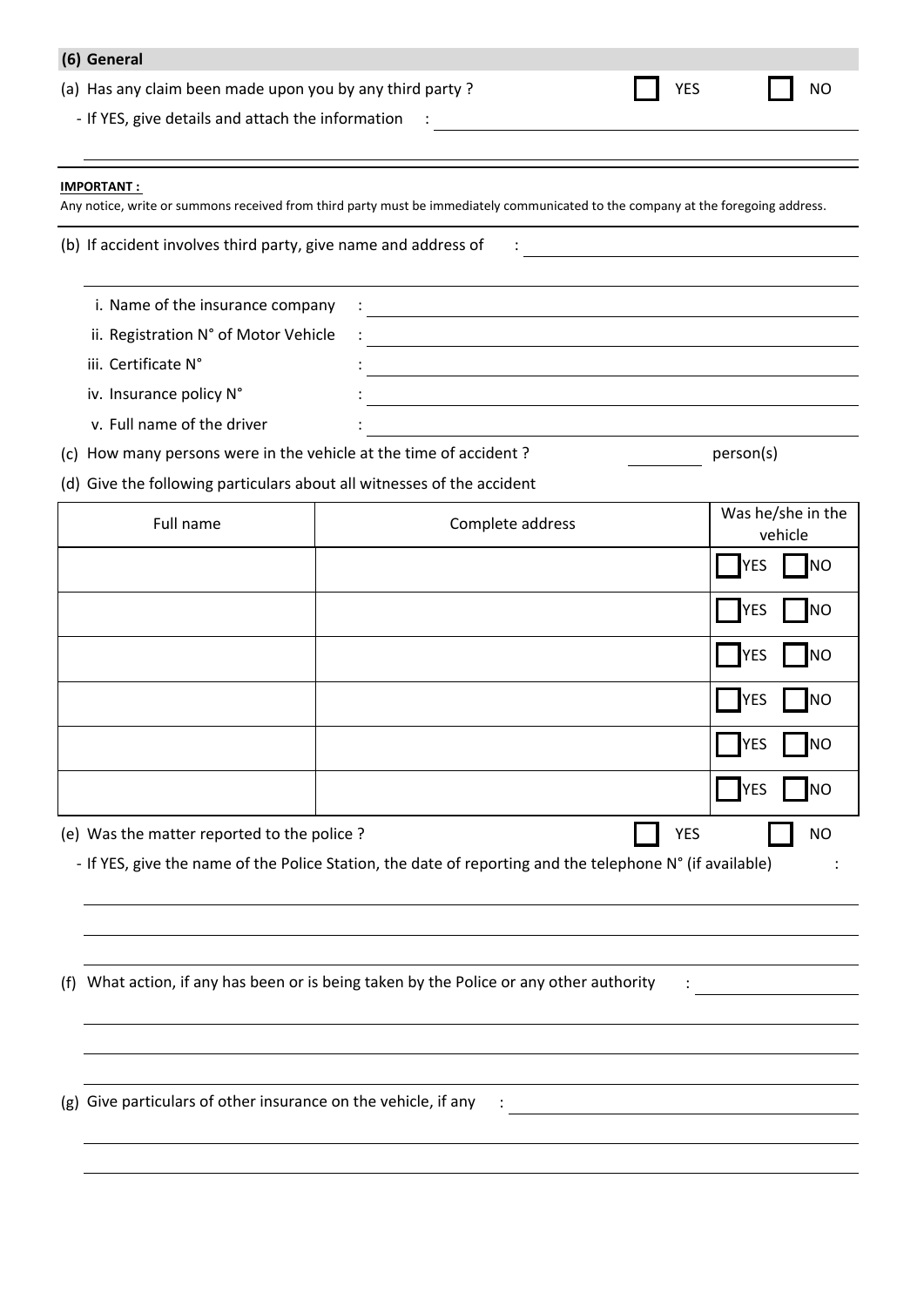| (6) General                                                            |                                                                                                                                  |  |                              |  |  |  |
|------------------------------------------------------------------------|----------------------------------------------------------------------------------------------------------------------------------|--|------------------------------|--|--|--|
| (a) Has any claim been made upon you by any third party?               |                                                                                                                                  |  | <b>YES</b><br>NO             |  |  |  |
| - If YES, give details and attach the information :                    |                                                                                                                                  |  |                              |  |  |  |
| <b>IMPORTANT:</b>                                                      | Any notice, write or summons received from third party must be immediately communicated to the company at the foregoing address. |  |                              |  |  |  |
| (b) If accident involves third party, give name and address of         |                                                                                                                                  |  |                              |  |  |  |
| i. Name of the insurance company                                       |                                                                                                                                  |  |                              |  |  |  |
| ii. Registration N° of Motor Vehicle                                   | <u> 1980 - Johann Stein, marwolaethau (b. 1980)</u>                                                                              |  |                              |  |  |  |
| iii. Certificate N°                                                    |                                                                                                                                  |  |                              |  |  |  |
| iv. Insurance policy N°                                                |                                                                                                                                  |  |                              |  |  |  |
| v. Full name of the driver                                             |                                                                                                                                  |  |                              |  |  |  |
| (c) How many persons were in the vehicle at the time of accident?      |                                                                                                                                  |  | person(s)                    |  |  |  |
| (d) Give the following particulars about all witnesses of the accident |                                                                                                                                  |  |                              |  |  |  |
| Full name                                                              | Complete address                                                                                                                 |  | Was he/she in the<br>vehicle |  |  |  |
|                                                                        |                                                                                                                                  |  | <b>INO</b><br>YES            |  |  |  |
|                                                                        |                                                                                                                                  |  | <b>INO</b><br><b>YES</b>     |  |  |  |
|                                                                        |                                                                                                                                  |  | <b>YES</b><br><b>INO</b>     |  |  |  |
|                                                                        |                                                                                                                                  |  | <b>YES</b><br><b>INO</b>     |  |  |  |
|                                                                        |                                                                                                                                  |  | <b>YES</b>                   |  |  |  |
|                                                                        |                                                                                                                                  |  | <b>YES</b><br><b>NO</b>      |  |  |  |
| (e) Was the matter reported to the police?                             |                                                                                                                                  |  | <b>YES</b><br><b>NO</b>      |  |  |  |
|                                                                        | - If YES, give the name of the Police Station, the date of reporting and the telephone N° (if available)                         |  |                              |  |  |  |
|                                                                        |                                                                                                                                  |  |                              |  |  |  |
|                                                                        |                                                                                                                                  |  |                              |  |  |  |
| (f)                                                                    | What action, if any has been or is being taken by the Police or any other authority                                              |  |                              |  |  |  |
|                                                                        |                                                                                                                                  |  |                              |  |  |  |
|                                                                        |                                                                                                                                  |  |                              |  |  |  |
| Give particulars of other insurance on the vehicle, if any<br>(g)      |                                                                                                                                  |  |                              |  |  |  |
|                                                                        |                                                                                                                                  |  |                              |  |  |  |
|                                                                        |                                                                                                                                  |  |                              |  |  |  |
|                                                                        |                                                                                                                                  |  |                              |  |  |  |